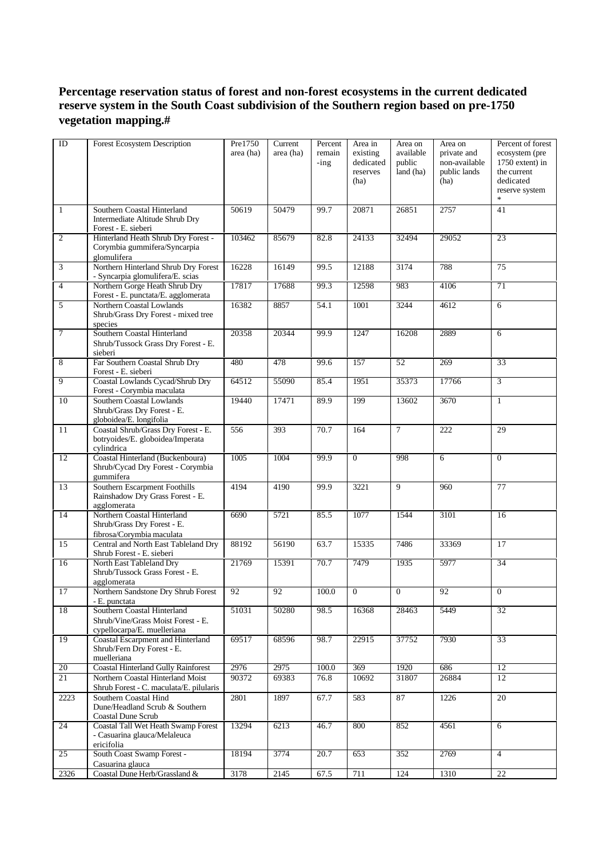## **Percentage reservation status of forest and non-forest ecosystems in the current dedicated reserve system in the South Coast subdivision of the Southern region based on pre-1750 vegetation mapping.#**

| ID                      | Forest Ecosystem Description                                                                     | Pre1750<br>area (ha) | Current<br>area (ha) | Percent<br>remain<br>$-$ ing | Area in<br>existing<br>dedicated<br>reserves<br>(ha) | Area on<br>available<br>public<br>land (ha) | Area on<br>private and<br>non-available<br>public lands<br>(ha) | Percent of forest<br>ecosystem (pre<br>1750 extent) in<br>the current<br>dedicated<br>reserve system |
|-------------------------|--------------------------------------------------------------------------------------------------|----------------------|----------------------|------------------------------|------------------------------------------------------|---------------------------------------------|-----------------------------------------------------------------|------------------------------------------------------------------------------------------------------|
| $\overline{1}$          | Southern Coastal Hinterland<br>Intermediate Altitude Shrub Dry<br>Forest - E. sieberi            | 50619                | 50479                | 99.7                         | 20871                                                | 26851                                       | 2757                                                            | $\overline{41}$                                                                                      |
| $\overline{2}$          | Hinterland Heath Shrub Dry Forest -<br>Corymbia gummifera/Syncarpia<br>glomulifera               | 103462               | 85679                | 82.8                         | 24133                                                | 32494                                       | 29052                                                           | 23                                                                                                   |
| $\overline{\mathbf{3}}$ | Northern Hinterland Shrub Dry Forest<br>- Syncarpia glomulifera/E. scias                         | 16228                | 16149                | 99.5                         | 12188                                                | 3174                                        | 788                                                             | 75                                                                                                   |
| $\overline{4}$          | Northern Gorge Heath Shrub Dry<br>Forest - E. punctata/E. agglomerata                            | 17817                | 17688                | 99.3                         | 12598                                                | 983                                         | 4106                                                            | 71                                                                                                   |
| $\overline{5}$          | Northern Coastal Lowlands<br>Shrub/Grass Dry Forest - mixed tree<br>species                      | 16382                | 8857                 | 54.1                         | 1001                                                 | 3244                                        | 4612                                                            | 6                                                                                                    |
| $\overline{7}$          | Southern Coastal Hinterland<br>Shrub/Tussock Grass Dry Forest - E.<br>sieberi                    | 20358                | 20344                | 99.9                         | 1247                                                 | 16208                                       | 2889                                                            | 6                                                                                                    |
| $\overline{8}$          | Far Southern Coastal Shrub Dry<br>Forest - E. sieberi                                            | 480                  | 478                  | 99.6                         | 157                                                  | 52                                          | 269                                                             | 33                                                                                                   |
| $\overline{9}$          | Coastal Lowlands Cycad/Shrub Dry<br>Forest - Corymbia maculata                                   | 64512                | 55090                | 85.4                         | 1951                                                 | 35373                                       | 17766                                                           | $\overline{3}$                                                                                       |
| 10                      | Southern Coastal Lowlands<br>Shrub/Grass Dry Forest - E.<br>globoidea/E. longifolia              | 19440                | 17471                | 89.9                         | 199                                                  | 13602                                       | 3670                                                            | 1                                                                                                    |
| 11                      | Coastal Shrub/Grass Dry Forest - E.<br>botryoides/E. globoidea/Imperata<br>cylindrica            | 556                  | 393                  | 70.7                         | 164                                                  | $\tau$                                      | 222                                                             | 29                                                                                                   |
| 12                      | Coastal Hinterland (Buckenboura)<br>Shrub/Cycad Dry Forest - Corymbia<br>gummifera               | 1005                 | 1004                 | 99.9                         | $\mathbf{0}$                                         | 998                                         | 6                                                               | $\mathbf{0}$                                                                                         |
| 13                      | Southern Escarpment Foothills<br>Rainshadow Dry Grass Forest - E.<br>agglomerata                 | 4194                 | 4190                 | 99.9                         | 3221                                                 | 9                                           | 960                                                             | 77                                                                                                   |
| $\overline{14}$         | Northern Coastal Hinterland<br>Shrub/Grass Dry Forest - E.<br>fibrosa/Corymbia maculata          | 6690                 | 5721                 | 85.5                         | 1077                                                 | 1544                                        | 3101                                                            | 16                                                                                                   |
| 15                      | Central and North East Tableland Dry<br>Shrub Forest - E. sieberi                                | 88192                | 56190                | 63.7                         | 15335                                                | 7486                                        | 33369                                                           | 17                                                                                                   |
| 16                      | North East Tableland Dry<br>Shrub/Tussock Grass Forest - E.<br>agglomerata                       | 21769                | 15391                | 70.7                         | 7479                                                 | 1935                                        | 5977                                                            | 34                                                                                                   |
| 17                      | Northern Sandstone Dry Shrub Forest<br>- E. punctata                                             | 92                   | 92                   | 100.0                        | $\overline{0}$                                       | $\overline{0}$                              | 92                                                              | $\overline{0}$                                                                                       |
| 18                      | Southern Coastal Hinterland<br>Shrub/Vine/Grass Moist Forest - E.<br>cypellocarpa/E. muelleriana | 51031                | 50280                | 98.5                         | 16368                                                | 28463                                       | 5449                                                            | $\overline{32}$                                                                                      |
| 19                      | Coastal Escarpment and Hinterland<br>Shrub/Fern Dry Forest - E.<br>muelleriana                   | 69517                | 68596                | 98.7                         | 22915                                                | 37752                                       | 7930                                                            | 33                                                                                                   |
| 20                      | <b>Coastal Hinterland Gully Rainforest</b>                                                       | 2976                 | 2975                 | 100.0                        | 369                                                  | 1920                                        | 686                                                             | 12                                                                                                   |
| 21                      | Northern Coastal Hinterland Moist<br>Shrub Forest - C. maculata/E. pilularis                     | 90372                | 69383                | 76.8                         | 10692                                                | 31807                                       | 26884                                                           | 12                                                                                                   |
| 2223                    | Southern Coastal Hind<br>Dune/Headland Scrub & Southern<br>Coastal Dune Scrub                    | 2801                 | 1897                 | 67.7                         | 583                                                  | 87                                          | 1226                                                            | 20                                                                                                   |
| 24                      | Coastal Tall Wet Heath Swamp Forest<br>- Casuarina glauca/Melaleuca<br>ericifolia                | 13294                | 6213                 | 46.7                         | 800                                                  | 852                                         | 4561                                                            | 6                                                                                                    |
| 25                      | South Coast Swamp Forest -<br>Casuarina glauca                                                   | 18194                | 3774                 | 20.7                         | 653                                                  | 352                                         | 2769                                                            | $\overline{4}$                                                                                       |
| 2326                    | Coastal Dune Herb/Grassland &                                                                    | 3178                 | 2145                 | 67.5                         | 711                                                  | 124                                         | 1310                                                            | 22                                                                                                   |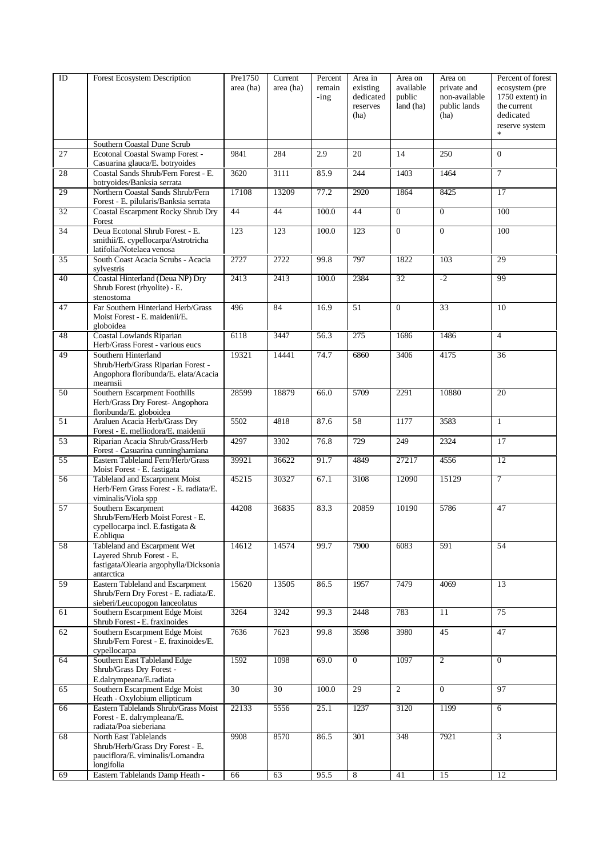| ID              | Forest Ecosystem Description                                     | Pre1750   | Current   | Percent | Area in        | Area on        | Area on         | Percent of forest |
|-----------------|------------------------------------------------------------------|-----------|-----------|---------|----------------|----------------|-----------------|-------------------|
|                 |                                                                  | area (ha) | area (ha) | remain  | existing       | available      | private and     | ecosystem (pre    |
|                 |                                                                  |           |           | $-$ ing | dedicated      | public         | non-available   | 1750 extent) in   |
|                 |                                                                  |           |           |         | reserves       | land (ha)      | public lands    | the current       |
|                 |                                                                  |           |           |         | (ha)           |                | (ha)            | dedicated         |
|                 |                                                                  |           |           |         |                |                |                 | reserve system    |
|                 |                                                                  |           |           |         |                |                |                 |                   |
|                 | Southern Coastal Dune Scrub                                      |           |           |         |                |                |                 |                   |
| 27              | Ecotonal Coastal Swamp Forest -                                  | 9841      | 284       | 2.9     | 20             | 14             | 250             | $\Omega$          |
|                 | Casuarina glauca/E. botryoides                                   |           |           |         |                |                |                 |                   |
| 28              | Coastal Sands Shrub/Fern Forest - E.                             | 3620      | 3111      | 85.9    | 244            | 1403           | 1464            | $\overline{7}$    |
|                 | botryoides/Banksia serrata                                       |           |           |         |                |                |                 |                   |
| 29              | Northern Coastal Sands Shrub/Fern                                | 17108     | 13209     | 77.2    | 2920           | 1864           | 8425            | 17                |
|                 | Forest - E. pilularis/Banksia serrata                            |           |           |         |                |                |                 |                   |
| 32              | Coastal Escarpment Rocky Shrub Dry                               | 44        | 44        | 100.0   | 44             | $\overline{0}$ | $\overline{0}$  | 100               |
|                 | Forest                                                           |           |           |         |                |                |                 |                   |
| 34              | Deua Ecotonal Shrub Forest - E.                                  | 123       | 123       | 100.0   | 123            | $\mathbf{0}$   | $\mathbf{0}$    | 100               |
|                 | smithii/E. cypellocarpa/Astrotricha<br>latifolia/Notelaea venosa |           |           |         |                |                |                 |                   |
| $\overline{35}$ | South Coast Acacia Scrubs - Acacia                               | 2727      | 2722      | 99.8    | 797            | 1822           | 103             | 29                |
|                 | sylvestris                                                       |           |           |         |                |                |                 |                   |
| 40              | Coastal Hinterland (Deua NP) Dry                                 | 2413      | 2413      | 100.0   | 2384           | 32             | $-2$            | 99                |
|                 | Shrub Forest (rhyolite) - E.                                     |           |           |         |                |                |                 |                   |
|                 | stenostoma                                                       |           |           |         |                |                |                 |                   |
| 47              | Far Southern Hinterland Herb/Grass                               | 496       | 84        | 16.9    | 51             | $\Omega$       | 33              | 10                |
|                 | Moist Forest - E. maidenii/E.                                    |           |           |         |                |                |                 |                   |
|                 | globoidea                                                        |           |           |         |                |                |                 |                   |
| 48              | Coastal Lowlands Riparian                                        | 6118      | 3447      | 56.3    | 275            | 1686           | 1486            | $\overline{4}$    |
|                 | Herb/Grass Forest - various eucs                                 |           |           |         |                |                |                 |                   |
| 49              | Southern Hinterland                                              | 19321     | 14441     | 74.7    | 6860           | 3406           | 4175            | $\overline{36}$   |
|                 | Shrub/Herb/Grass Riparian Forest -                               |           |           |         |                |                |                 |                   |
|                 | Angophora floribunda/E. elata/Acacia                             |           |           |         |                |                |                 |                   |
|                 | mearnsii                                                         |           |           |         |                |                |                 |                   |
| $\overline{50}$ | Southern Escarpment Foothills                                    | 28599     | 18879     | 66.0    | 5709           | 2291           | 10880           | 20                |
|                 | Herb/Grass Dry Forest- Angophora                                 |           |           |         |                |                |                 |                   |
|                 | floribunda/E. globoidea                                          |           |           |         |                |                |                 |                   |
| $\overline{51}$ | Araluen Acacia Herb/Grass Dry                                    | 5502      | 4818      | 87.6    | 58             | 1177           | 3583            | $\mathbf{1}$      |
|                 | Forest - E. melliodora/E. maidenii                               |           |           |         |                |                |                 |                   |
| 53              | Riparian Acacia Shrub/Grass/Herb                                 | 4297      | 3302      | 76.8    | 729            | 249            | 2324            | 17                |
|                 | Forest - Casuarina cunninghamiana                                |           |           |         |                |                |                 |                   |
| 55              | Eastern Tableland Fern/Herb/Grass                                | 39921     | 36622     | 91.7    | 4849           | 27217          | 4556            | 12                |
|                 | Moist Forest - E. fastigata                                      |           |           |         |                |                |                 |                   |
| 56              | Tableland and Escarpment Moist                                   | 45215     | 30327     | 67.1    | 3108           | 12090          | 15129           | $\overline{7}$    |
|                 | Herb/Fern Grass Forest - E. radiata/E.                           |           |           |         |                |                |                 |                   |
|                 | viminalis/Viola spp                                              |           |           |         |                |                |                 |                   |
| $\overline{57}$ | Southern Escarpment<br>Shrub/Fern/Herb Moist Forest - E.         | 44208     | 36835     | 83.3    | 20859          | 10190          | 5786            | 47                |
|                 | cypellocarpa incl. E.fastigata &                                 |           |           |         |                |                |                 |                   |
|                 | E.obliqua                                                        |           |           |         |                |                |                 |                   |
| 58              | Tableland and Escarpment Wet                                     | 14612     | 14574     | 99.7    | 7900           | 6083           | 591             | 54                |
|                 | Lavered Shrub Forest - E.                                        |           |           |         |                |                |                 |                   |
|                 | fastigata/Olearia argophylla/Dicksonia                           |           |           |         |                |                |                 |                   |
|                 | antarctica                                                       |           |           |         |                |                |                 |                   |
| 59              | Eastern Tableland and Escarpment                                 | 15620     | 13505     | 86.5    | 1957           | 7479           | 4069            | 13                |
|                 | Shrub/Fern Dry Forest - E. radiata/E.                            |           |           |         |                |                |                 |                   |
|                 | sieberi/Leucopogon lanceolatus                                   |           |           |         |                |                |                 |                   |
| 61              | Southern Escarpment Edge Moist                                   | 3264      | 3242      | 99.3    | 2448           | 783            | $\overline{11}$ | 75                |
|                 | Shrub Forest - E. fraxinoides                                    |           |           |         |                |                |                 |                   |
| 62              | Southern Escarpment Edge Moist                                   | 7636      | 7623      | 99.8    | 3598           | 3980           | 45              | 47                |
|                 | Shrub/Fern Forest - E. fraxinoides/E.                            |           |           |         |                |                |                 |                   |
|                 | cypellocarpa                                                     |           |           |         |                |                |                 |                   |
| 64              | Southern East Tableland Edge                                     | 1592      | 1098      | 69.0    | $\overline{0}$ | 1097           | $\overline{2}$  | $\mathbf{0}$      |
|                 | Shrub/Grass Dry Forest -                                         |           |           |         |                |                |                 |                   |
|                 | E.dalrympeana/E.radiata                                          |           |           |         |                |                |                 |                   |
| 65              | Southern Escarpment Edge Moist                                   | 30        | 30        | 100.0   | 29             | 2              | $\overline{0}$  | 97                |
|                 | Heath - Oxylobium ellipticum                                     |           |           |         |                |                |                 |                   |
| 66              | Eastern Tablelands Shrub/Grass Moist                             | 22133     | 5556      | 25.1    | 1237           | 3120           | 1199            | 6                 |
|                 | Forest - E. dalrympleana/E.                                      |           |           |         |                |                |                 |                   |
| 68              | radiata/Poa sieberiana<br>North East Tablelands                  | 9908      | 8570      | 86.5    | 301            | 348            | 7921            | 3                 |
|                 | Shrub/Herb/Grass Dry Forest - E.                                 |           |           |         |                |                |                 |                   |
|                 | pauciflora/E. viminalis/Lomandra                                 |           |           |         |                |                |                 |                   |
|                 | longifolia                                                       |           |           |         |                |                |                 |                   |
| 69              | Eastern Tablelands Damp Heath -                                  | 66        | 63        | 95.5    | $\overline{8}$ | 41             | 15              | 12                |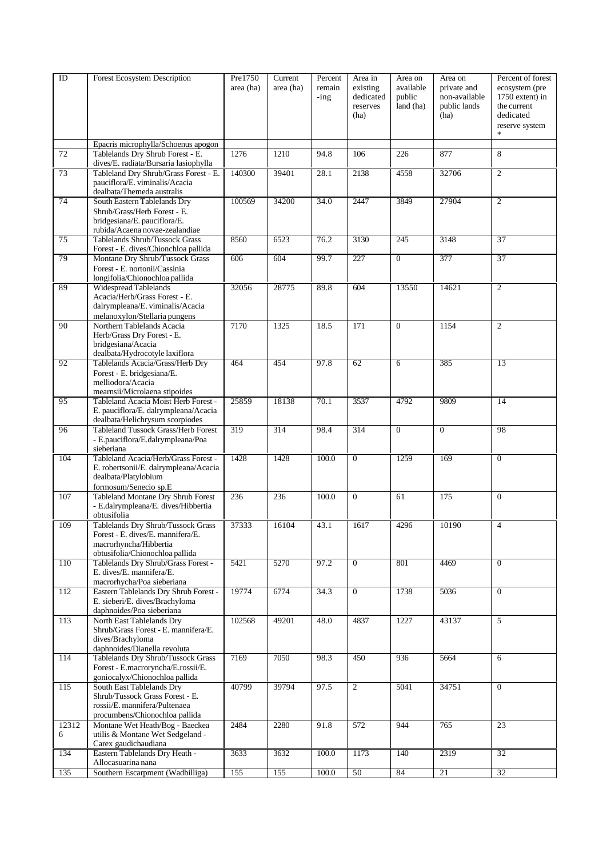| ID         | Forest Ecosystem Description                                            | Pre1750   | Current   | Percent | Area in        | Area on        | Area on       | Percent of forest |
|------------|-------------------------------------------------------------------------|-----------|-----------|---------|----------------|----------------|---------------|-------------------|
|            |                                                                         | area (ha) | area (ha) | remain  | existing       | available      | private and   | ecosystem (pre    |
|            |                                                                         |           |           | $-$ ing | dedicated      | public         | non-available | 1750 extent) in   |
|            |                                                                         |           |           |         | reserves       | land (ha)      | public lands  | the current       |
|            |                                                                         |           |           |         | (ha)           |                | (ha)          | dedicated         |
|            |                                                                         |           |           |         |                |                |               | reserve system    |
|            | Epacris microphylla/Schoenus apogon                                     |           |           |         |                |                |               |                   |
| 72         | Tablelands Dry Shrub Forest - E.                                        | 1276      | 1210      | 94.8    | 106            | 226            | 877           | 8                 |
|            | dives/E. radiata/Bursaria lasiophylla                                   |           |           |         |                |                |               |                   |
| 73         | Tableland Dry Shrub/Grass Forest - E.<br>pauciflora/E. viminalis/Acacia | 140300    | 39401     | 28.1    | 2138           | 4558           | 32706         | $\overline{2}$    |
|            | dealbata/Themeda australis                                              |           |           |         |                |                |               |                   |
| 74         | South Eastern Tablelands Dry                                            | 100569    | 34200     | 34.0    | 2447           | 3849           | 27904         | $\overline{2}$    |
|            | Shrub/Grass/Herb Forest - E.                                            |           |           |         |                |                |               |                   |
|            | bridgesiana/E. pauciflora/E.                                            |           |           |         |                |                |               |                   |
|            | rubida/Acaena novae-zealandiae                                          |           |           |         |                |                |               |                   |
| 75         | Tablelands Shrub/Tussock Grass<br>Forest - E. dives/Chionchloa pallida  | 8560      | 6523      | 76.2    | 3130           | 245            | 3148          | 37                |
| 79         | Montane Dry Shrub/Tussock Grass                                         | 606       | 604       | 99.7    | 227            | $\overline{0}$ | 377           | 37                |
|            | Forest - E. nortonii/Cassinia                                           |           |           |         |                |                |               |                   |
|            | longifolia/Chionochloa pallida                                          |           |           |         |                |                |               |                   |
| 89         | Widespread Tablelands                                                   | 32056     | 28775     | 89.8    | 604            | 13550          | 14621         | $\overline{2}$    |
|            | Acacia/Herb/Grass Forest - E.                                           |           |           |         |                |                |               |                   |
|            | dalrympleana/E. viminalis/Acacia<br>melanoxylon/Stellaria pungens       |           |           |         |                |                |               |                   |
| 90         | Northern Tablelands Acacia                                              | 7170      | 1325      | 18.5    | 171            | $\overline{0}$ | 1154          | $\overline{2}$    |
|            | Herb/Grass Dry Forest - E.                                              |           |           |         |                |                |               |                   |
|            | bridgesiana/Acacia                                                      |           |           |         |                |                |               |                   |
|            | dealbata/Hydrocotyle laxiflora                                          |           |           |         |                |                |               |                   |
| 92         | Tablelands Acacia/Grass/Herb Dry                                        | 464       | 454       | 97.8    | 62             | 6              | 385           | 13                |
|            | Forest - E. bridgesiana/E.<br>melliodora/Acacia                         |           |           |         |                |                |               |                   |
|            | mearnsii/Microlaena stipoides                                           |           |           |         |                |                |               |                   |
| 95         | Tableland Acacia Moist Herb Forest -                                    | 25859     | 18138     | 70.1    | 3537           | 4792           | 9809          | 14                |
|            | E. pauciflora/E. dalrympleana/Acacia                                    |           |           |         |                |                |               |                   |
|            | dealbata/Helichrysum scorpiodes                                         |           |           |         |                |                |               |                   |
| 96         | Tableland Tussock Grass/Herb Forest                                     | 319       | 314       | 98.4    | 314            | $\overline{0}$ | $\mathbf{0}$  | 98                |
|            | - E.pauciflora/E.dalrympleana/Poa<br>sieberiana                         |           |           |         |                |                |               |                   |
| 104        | Tableland Acacia/Herb/Grass Forest -                                    | 1428      | 1428      | 100.0   | $\overline{0}$ | 1259           | 169           | $\boldsymbol{0}$  |
|            | E. robertsonii/E. dalrympleana/Acacia                                   |           |           |         |                |                |               |                   |
|            | dealbata/Platylobium                                                    |           |           |         |                |                |               |                   |
| 107        | formosum/Senecio sp.E<br>Tableland Montane Dry Shrub Forest             | 236       | 236       | 100.0   | $\Omega$       | 61             | 175           | $\mathbf{0}$      |
|            | - E.dalrympleana/E. dives/Hibbertia                                     |           |           |         |                |                |               |                   |
|            | obtusifolia                                                             |           |           |         |                |                |               |                   |
| 109        | Tablelands Dry Shrub/Tussock Grass                                      | 37333     | 16104     | 43.1    | 1617           | 4296           | 10190         | $\overline{4}$    |
|            | Forest - E. dives/E. mannifera/E.                                       |           |           |         |                |                |               |                   |
|            | macrorhyncha/Hibbertia<br>obtusifolia/Chionochloa pallida               |           |           |         |                |                |               |                   |
| 110        | Tablelands Dry Shrub/Grass Forest -                                     | 5421      | 5270      | 97.2    | $\Omega$       | 801            | 4469          | $\mathbf{0}$      |
|            | E. dives/E. mannifera/E.                                                |           |           |         |                |                |               |                   |
|            | macrorhycha/Poa sieberiana                                              |           |           |         |                |                |               |                   |
| 112        | Eastern Tablelands Dry Shrub Forest -                                   | 19774     | 6774      | 34.3    | $\overline{0}$ | 1738           | 5036          | $\overline{0}$    |
|            | E. sieberi/E. dives/Brachyloma<br>daphnoides/Poa sieberiana             |           |           |         |                |                |               |                   |
| 113        | North East Tablelands Dry                                               | 102568    | 49201     | 48.0    | 4837           | 1227           | 43137         | 5                 |
|            | Shrub/Grass Forest - E. mannifera/E.                                    |           |           |         |                |                |               |                   |
|            | dives/Brachyloma                                                        |           |           |         |                |                |               |                   |
|            | daphnoides/Dianella revoluta                                            |           |           |         |                |                |               |                   |
| 114        | Tablelands Dry Shrub/Tussock Grass                                      | 7169      | 7050      | 98.3    | 450            | 936            | 5664          | 6                 |
|            | Forest - E.macroryncha/E.rossii/E.<br>goniocalyx/Chionochloa pallida    |           |           |         |                |                |               |                   |
| 115        | South East Tablelands Dry                                               | 40799     | 39794     | 97.5    | $\overline{2}$ | 5041           | 34751         | $\mathbf{0}$      |
|            | Shrub/Tussock Grass Forest - E.                                         |           |           |         |                |                |               |                   |
|            | rossii/E. mannifera/Pultenaea                                           |           |           |         |                |                |               |                   |
|            | procumbens/Chionochloa pallida                                          |           |           |         |                |                |               |                   |
| 12312<br>6 | Montane Wet Heath/Bog - Baeckea<br>utilis & Montane Wet Sedgeland -     | 2484      | 2280      | 91.8    | 572            | 944            | 765           | 23                |
|            | Carex gaudichaudiana                                                    |           |           |         |                |                |               |                   |
| 134        | Eastern Tablelands Dry Heath -                                          | 3633      | 3632      | 100.0   | 1173           | 140            | 2319          | $\overline{32}$   |
|            | Allocasuarina nana                                                      |           |           |         |                |                |               |                   |
| 135        | Southern Escarpment (Wadbilliga)                                        | 155       | 155       | 100.0   | 50             | 84             | 21            | 32                |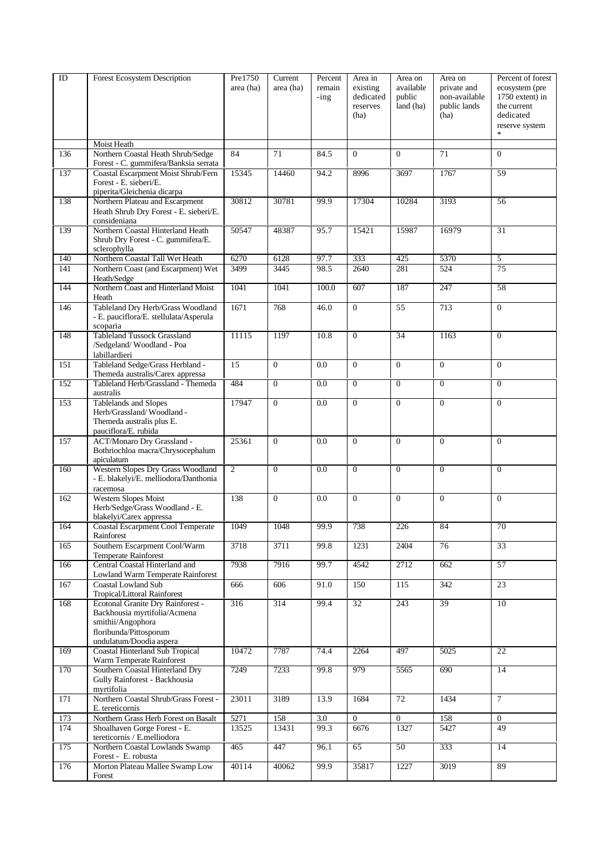| ID  | Forest Ecosystem Description                                                | Pre1750        | Current        | Percent | Area in         | Area on         | Area on         | Percent of forest |
|-----|-----------------------------------------------------------------------------|----------------|----------------|---------|-----------------|-----------------|-----------------|-------------------|
|     |                                                                             | area (ha)      | area (ha)      | remain  | existing        | available       | private and     | ecosystem (pre    |
|     |                                                                             |                |                | $-$ ing | dedicated       | public          | non-available   | 1750 extent) in   |
|     |                                                                             |                |                |         | reserves        | land (ha)       | public lands    | the current       |
|     |                                                                             |                |                |         | (ha)            |                 | (ha)            | dedicated         |
|     |                                                                             |                |                |         |                 |                 |                 | reserve system    |
|     |                                                                             |                |                |         |                 |                 |                 |                   |
|     | Moist Heath                                                                 | 84             |                |         |                 | $\Omega$        | $\overline{71}$ | $\Omega$          |
| 136 | Northern Coastal Heath Shrub/Sedge<br>Forest - C. gummifera/Banksia serrata |                | 71             | 84.5    | $\overline{0}$  |                 |                 |                   |
| 137 | Coastal Escarpment Moist Shrub/Fern                                         | 15345          | 14460          | 94.2    | 8996            | 3697            | 1767            | 59                |
|     | Forest - E. sieberi/E.                                                      |                |                |         |                 |                 |                 |                   |
|     | piperita/Gleichenia dicarpa                                                 |                |                |         |                 |                 |                 |                   |
| 138 | Northern Plateau and Escarpment                                             | 30812          | 30781          | 99.9    | 17304           | 10284           | 3193            | 56                |
|     | Heath Shrub Dry Forest - E. sieberi/E.                                      |                |                |         |                 |                 |                 |                   |
|     | consideniana                                                                |                |                |         |                 |                 |                 |                   |
| 139 | Northern Coastal Hinterland Heath                                           | 50547          | 48387          | 95.7    | 15421           | 15987           | 16979           | $\overline{31}$   |
|     | Shrub Dry Forest - C. gummifera/E.                                          |                |                |         |                 |                 |                 |                   |
| 140 | sclerophylla<br>Northern Coastal Tall Wet Heath                             | 6270           | 6128           | 97.7    | 333             | 425             | 5370            | $\overline{5}$    |
| 141 | Northern Coast (and Escarpment) Wet                                         | 3499           | 3445           | 98.5    | 2640            | 281             | 524             | 75                |
|     | Heath/Sedge                                                                 |                |                |         |                 |                 |                 |                   |
| 144 | Northern Coast and Hinterland Moist                                         | 1041           | 1041           | 100.0   | 607             | 187             | 247             | 58                |
|     | Heath                                                                       |                |                |         |                 |                 |                 |                   |
| 146 | Tableland Dry Herb/Grass Woodland                                           | 1671           | 768            | 46.0    | $\overline{0}$  | 55              | 713             | $\mathbf{0}$      |
|     | - E. pauciflora/E. stellulata/Asperula                                      |                |                |         |                 |                 |                 |                   |
|     | scoparia                                                                    |                |                |         |                 |                 |                 |                   |
| 148 | <b>Tableland Tussock Grassland</b>                                          | 11115          | 1197           | 10.8    | $\overline{0}$  | $\overline{34}$ | 1163            | $\overline{0}$    |
|     | /Sedgeland/Woodland - Poa                                                   |                |                |         |                 |                 |                 |                   |
| 151 | labillardieri<br>Tableland Sedge/Grass Herbland -                           | 15             | $\mathbf{0}$   | 0.0     | $\mathbf{0}$    | $\mathbf{0}$    | $\mathbf{0}$    | $\mathbf{0}$      |
|     | Themeda australis/Carex appressa                                            |                |                |         |                 |                 |                 |                   |
| 152 | Tableland Herb/Grassland - Themeda                                          | 484            | $\overline{0}$ | 0.0     | $\overline{0}$  | $\mathbf{0}$    | $\overline{0}$  | $\mathbf{0}$      |
|     | australis                                                                   |                |                |         |                 |                 |                 |                   |
| 153 | Tablelands and Slopes                                                       | 17947          | $\mathbf{0}$   | 0.0     | $\overline{0}$  | $\mathbf{0}$    | $\overline{0}$  | $\overline{0}$    |
|     | Herb/Grassland/Woodland-                                                    |                |                |         |                 |                 |                 |                   |
|     | Themeda australis plus E.                                                   |                |                |         |                 |                 |                 |                   |
|     | pauciflora/E. rubida                                                        |                |                |         |                 |                 |                 |                   |
| 157 | ACT/Monaro Dry Grassland -                                                  | 25361          | $\mathbf{0}$   | 0.0     | $\mathbf{0}$    | $\mathbf{0}$    | $\mathbf{0}$    | $\mathbf{0}$      |
|     | Bothriochloa macra/Chrysocephalum<br>apiculatum                             |                |                |         |                 |                 |                 |                   |
| 160 | Western Slopes Dry Grass Woodland                                           | $\overline{2}$ | $\theta$       | 0.0     | $\overline{0}$  | $\mathbf{0}$    | $\overline{0}$  | $\Omega$          |
|     | - E. blakelyi/E. melliodora/Danthonia                                       |                |                |         |                 |                 |                 |                   |
|     | racemosa                                                                    |                |                |         |                 |                 |                 |                   |
| 162 | Western Slopes Moist                                                        | 138            | $\mathbf{0}$   | 0.0     | $\Omega$        | $\Omega$        | $\mathbf{0}$    | $\mathbf{0}$      |
|     | Herb/Sedge/Grass Woodland - E.                                              |                |                |         |                 |                 |                 |                   |
|     | blakelyi/Carex appressa                                                     |                |                |         |                 |                 |                 |                   |
| 164 | Coastal Escarpment Cool Temperate<br>Rainforest                             | 1049           | 1048           | 99.9    | 738             | 226             | 84              | 70                |
| 165 | Southern Escarpment Cool/Warm                                               | 3718           | 3711           | 99.8    | 1231            | 2404            | 76              | 33                |
|     | <b>Temperate Rainforest</b>                                                 |                |                |         |                 |                 |                 |                   |
| 166 | Central Coastal Hinterland and                                              | 7938           | 7916           | 99.7    | 4542            | 2712            | 662             | 57                |
|     | <b>Lowland Warm Temperate Rainforest</b>                                    |                |                |         |                 |                 |                 |                   |
| 167 | Coastal Lowland Sub                                                         | 666            | 606            | 91.0    | 150             | 115             | 342             | 23                |
|     | Tropical/Littoral Rainforest                                                |                |                |         |                 |                 |                 |                   |
| 168 | Ecotonal Granite Dry Rainforest -                                           | 316            | 314            | 99.4    | $\overline{32}$ | 243             | 39              | 10                |
|     | Backhousia myrtifolia/Acmena<br>smithii/Angophora                           |                |                |         |                 |                 |                 |                   |
|     | floribunda/Pittosporum                                                      |                |                |         |                 |                 |                 |                   |
|     | undulatum/Doodia aspera                                                     |                |                |         |                 |                 |                 |                   |
| 169 | <b>Coastal Hinterland Sub Tropical</b>                                      | 10472          | 7787           | 74.4    | 2264            | 497             | 5025            | 22                |
|     | Warm Temperate Rainforest                                                   |                |                |         |                 |                 |                 |                   |
| 170 | Southern Coastal Hinterland Dry                                             | 7249           | 7233           | 99.8    | 979             | 5565            | 690             | 14                |
|     | Gully Rainforest - Backhousia                                               |                |                |         |                 |                 |                 |                   |
| 171 | myrtifolia<br>Northern Coastal Shrub/Grass Forest -                         | 23011          | 3189           | 13.9    | 1684            | 72              | 1434            | $\tau$            |
|     | E. tereticornis                                                             |                |                |         |                 |                 |                 |                   |
| 173 | Northern Grass Herb Forest on Basalt                                        | 5271           | 158            | 3.0     | $\overline{0}$  | $\overline{0}$  | 158             | $\theta$          |
| 174 | Shoalhaven Gorge Forest - E.                                                | 13525          | 13431          | 99.3    | 6676            | 1327            | 5427            | 49                |
|     | tereticornis / E.melliodora                                                 |                |                |         |                 |                 |                 |                   |
| 175 | Northern Coastal Lowlands Swamp                                             | 465            | 447            | 96.1    | 65              | 50              | 333             | 14                |
|     | Forest - E. robusta<br>Morton Plateau Mallee Swamp Low                      | 40114          | 40062          | 99.9    |                 |                 | 3019            | 89                |
| 176 | Forest                                                                      |                |                |         | 35817           | 1227            |                 |                   |
|     |                                                                             |                |                |         |                 |                 |                 |                   |